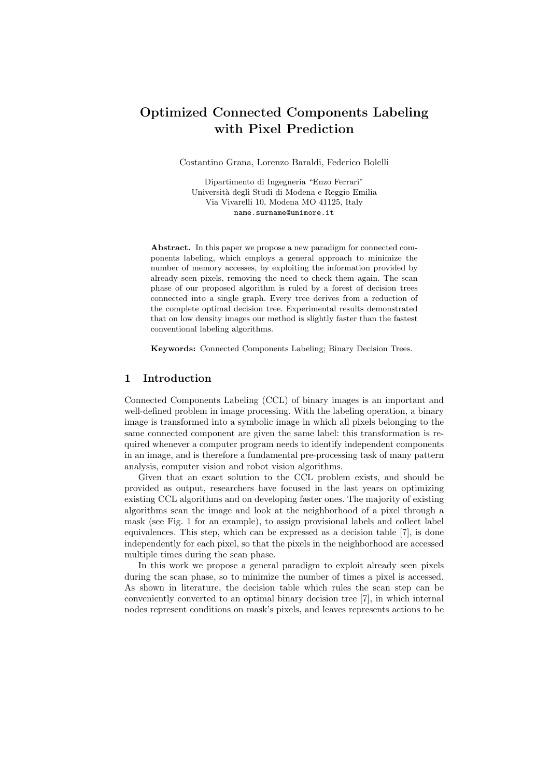# Optimized Connected Components Labeling with Pixel Prediction

Costantino Grana, Lorenzo Baraldi, Federico Bolelli

Dipartimento di Ingegneria "Enzo Ferrari" Universit`a degli Studi di Modena e Reggio Emilia Via Vivarelli 10, Modena MO 41125, Italy name.surname@unimore.it

Abstract. In this paper we propose a new paradigm for connected components labeling, which employs a general approach to minimize the number of memory accesses, by exploiting the information provided by already seen pixels, removing the need to check them again. The scan phase of our proposed algorithm is ruled by a forest of decision trees connected into a single graph. Every tree derives from a reduction of the complete optimal decision tree. Experimental results demonstrated that on low density images our method is slightly faster than the fastest conventional labeling algorithms.

Keywords: Connected Components Labeling; Binary Decision Trees.

# 1 Introduction

Connected Components Labeling (CCL) of binary images is an important and well-defined problem in image processing. With the labeling operation, a binary image is transformed into a symbolic image in which all pixels belonging to the same connected component are given the same label: this transformation is required whenever a computer program needs to identify independent components in an image, and is therefore a fundamental pre-processing task of many pattern analysis, computer vision and robot vision algorithms.

Given that an exact solution to the CCL problem exists, and should be provided as output, researchers have focused in the last years on optimizing existing CCL algorithms and on developing faster ones. The majority of existing algorithms scan the image and look at the neighborhood of a pixel through a mask (see Fig. 1 for an example), to assign provisional labels and collect label equivalences. This step, which can be expressed as a decision table [7], is done independently for each pixel, so that the pixels in the neighborhood are accessed multiple times during the scan phase.

In this work we propose a general paradigm to exploit already seen pixels during the scan phase, so to minimize the number of times a pixel is accessed. As shown in literature, the decision table which rules the scan step can be conveniently converted to an optimal binary decision tree [7], in which internal nodes represent conditions on mask's pixels, and leaves represents actions to be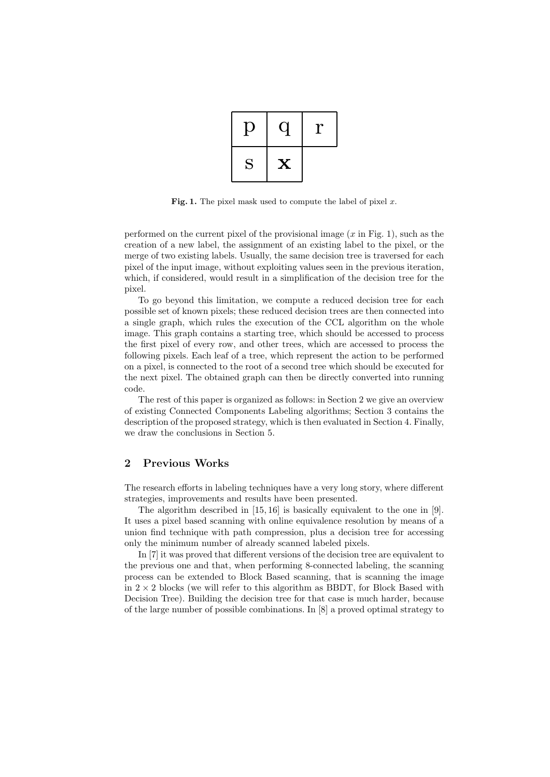| Ų |             | r |
|---|-------------|---|
| S | $\mathbf X$ |   |

Fig. 1. The pixel mask used to compute the label of pixel  $x$ .

performed on the current pixel of the provisional image  $(x \text{ in Fig. 1})$ , such as the creation of a new label, the assignment of an existing label to the pixel, or the merge of two existing labels. Usually, the same decision tree is traversed for each pixel of the input image, without exploiting values seen in the previous iteration, which, if considered, would result in a simplification of the decision tree for the pixel.

possible set of known pixels; these reduced decision trees are then connected into<br>a single graph, which rules the execution of the CCL algorithm on the whole inage. This graph contains a starting tree, which should be accessed to process<br>the first pixel of every row, and other trees, which are accessed to process the<br>following pixels. Each leaf of a tree, which represent the ac on a pixel, is connected to the root of a second tree which should be executed for<br>the next pixel. The obtained graph can then be directly converted into running<br>sode To go beyond this limitation, we compute a reduced decision tree for each possible set of known pixels; these reduced decision trees are then connected into image. This graph contains a starting tree, which should be accessed to process following pixels. Each leaf of a tree, which represent the action to be performed on a pixel, is connected to the root of a second tree which should be executed for code.

The rest of this paper is organized as follows: in Section 2 we give an overview<br>of existing Connected Components Labeling algorithms; Section 3 contains the description of the proposed strategy, which is then evaluated in section 4. Finally,<br>we draw the conclusions in Section 5. of existing Connected Components Labeling algorithms; Section 3 contains the description of the proposed strategy, which is then evaluated in Section 4. Finally, we draw the conclusions in Section 5.

## 2 Previous Works

The research efforts in labeling techniques have a very long story, where different strategies, improvements and results have been presented. strategies, improvements and results have been presented.

It uses a pixel based scanning with online equivalence resolution by means of a union find technique with path compression, plus a decision tree for accessing The algorithm described in [15, 16] is basically equivalent to the one in [9]. union find technique with path compression, plus a decision tree for accessing only the minimum number of already scanned labeled pixels.

only the minimum number of already scanned labeled pixels.<br>In [7] it was proved that different versions of the decision tree are equivalent to<br>the previous one and that when performing 8-connected labeling the scanning process can be extended to Block Based scanning, that is scanning the image<br>in  $2 \times 2$  blocks (we will refer to this algorithm as BBDT, for Block Based with of the large number of possible combinations. In  $[8]$  a proved optimal strategy to In [7] it was proved that different versions of the decision tree are equivalent to the previous one and that, when performing 8-connected labeling, the scanning in  $2 \times 2$  blocks (we will refer to this algorithm as BBDT, for Block Based with Decision Tree). Building the decision tree for that case is much harder, because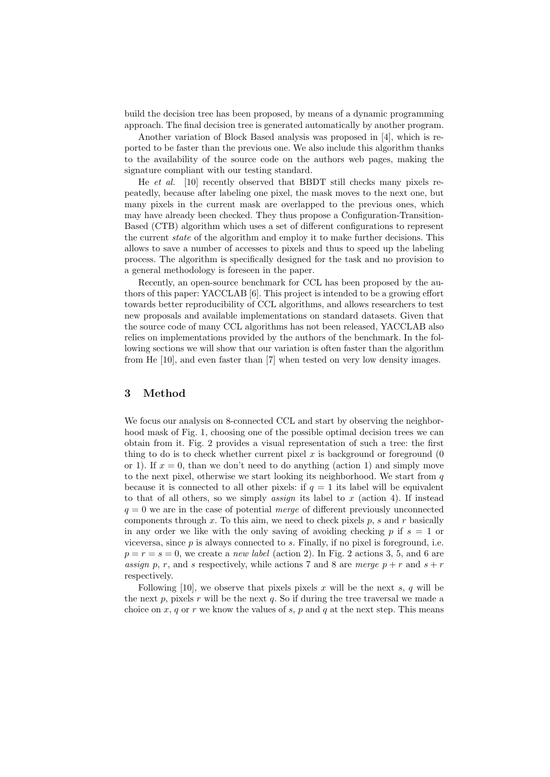build the decision tree has been proposed, by means of a dynamic programming approach. The final decision tree is generated automatically by another program.

Another variation of Block Based analysis was proposed in [4], which is reported to be faster than the previous one. We also include this algorithm thanks to the availability of the source code on the authors web pages, making the signature compliant with our testing standard.

He et al. [10] recently observed that BBDT still checks many pixels repeatedly, because after labeling one pixel, the mask moves to the next one, but many pixels in the current mask are overlapped to the previous ones, which may have already been checked. They thus propose a Configuration-Transition-Based (CTB) algorithm which uses a set of different configurations to represent the current *state* of the algorithm and employ it to make further decisions. This allows to save a number of accesses to pixels and thus to speed up the labeling process. The algorithm is specifically designed for the task and no provision to a general methodology is foreseen in the paper.

Recently, an open-source benchmark for CCL has been proposed by the authors of this paper: YACCLAB [6]. This project is intended to be a growing effort towards better reproducibility of CCL algorithms, and allows researchers to test new proposals and available implementations on standard datasets. Given that the source code of many CCL algorithms has not been released, YACCLAB also relies on implementations provided by the authors of the benchmark. In the following sections we will show that our variation is often faster than the algorithm from He [10], and even faster than [7] when tested on very low density images.

#### 3 Method

We focus our analysis on 8-connected CCL and start by observing the neighborhood mask of Fig. 1, choosing one of the possible optimal decision trees we can obtain from it. Fig. 2 provides a visual representation of such a tree: the first thing to do is to check whether current pixel  $x$  is background or foreground  $(0, 0, 0)$ or 1). If  $x = 0$ , than we don't need to do anything (action 1) and simply move to the next pixel, otherwise we start looking its neighborhood. We start from  $q$ because it is connected to all other pixels: if  $q = 1$  its label will be equivalent to that of all others, so we simply *assign* its label to  $x$  (action 4). If instead  $q = 0$  we are in the case of potential *merge* of different previously unconnected components through  $x$ . To this aim, we need to check pixels  $p$ ,  $s$  and  $r$  basically in any order we like with the only saving of avoiding checking p if  $s = 1$  or viceversa, since  $p$  is always connected to  $s$ . Finally, if no pixel is foreground, i.e.  $p = r = s = 0$ , we create a *new label* (action 2). In Fig. 2 actions 3, 5, and 6 are assign p, r, and s respectively, while actions 7 and 8 are merge  $p + r$  and  $s + r$ respectively.

Following [10], we observe that pixels pixels x will be the next s, q will be the next  $p$ , pixels  $r$  will be the next  $q$ . So if during the tree traversal we made a choice on  $x, q$  or  $r$  we know the values of  $s, p$  and  $q$  at the next step. This means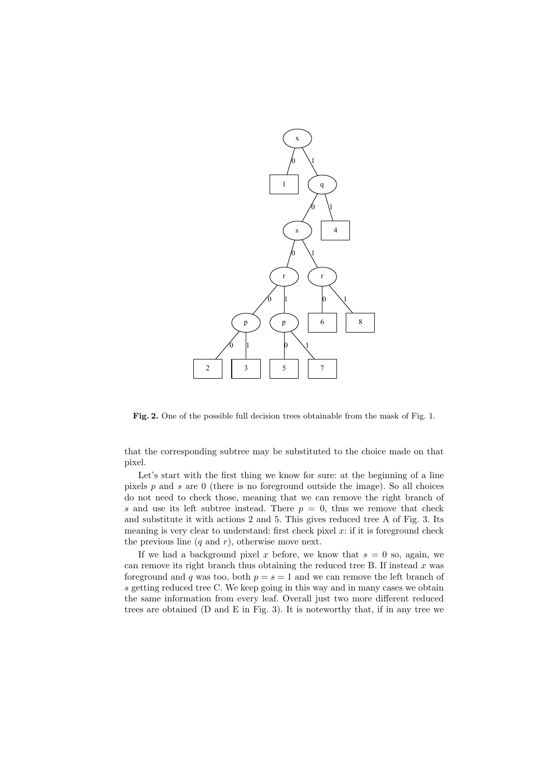

Fig. 2. One of the possible full decision trees obtainable from the mask of Fig. 1.

that the corresponding subtree may be substituted to the choice made on that pixel.

Let's start with the first thing we know for sure: at the beginning of a line pixels  $p$  and  $s$  are 0 (there is no foreground outside the image). So all choices do not need to check those, meaning that we can remove the right branch of s and use its left subtree instead. There  $p = 0$ , thus we remove that check and substitute it with actions 2 and 5. This gives reduced tree A of Fig. 3. Its meaning is very clear to understand: first check pixel  $x$ : if it is foreground check the previous line  $(q \text{ and } r)$ , otherwise move next.

If we had a background pixel x before, we know that  $s = 0$  so, again, we can remove its right branch thus obtaining the reduced tree B. If instead  $x$  was foreground and q was too, both  $p = s = 1$  and we can remove the left branch of s getting reduced tree C. We keep going in this way and in many cases we obtain the same information from every leaf. Overall just two more different reduced trees are obtained (D and E in Fig. 3). It is noteworthy that, if in any tree we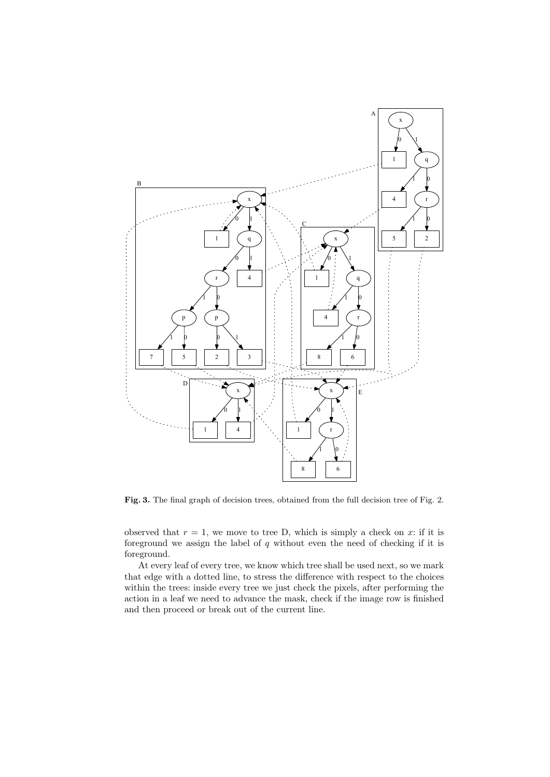

Fig. 3. The final graph of decision trees, obtained from the full decision tree of Fig. 2.

observed that  $r = 1$ , we move to tree D, which is simply a check on x: if it is foreground we assign the label of  $q$  without even the need of checking if it is foreground.

At every leaf of every tree, we know which tree shall be used next, so we mark that edge with a dotted line, to stress the difference with respect to the choices within the trees: inside every tree we just check the pixels, after performing the action in a leaf we need to advance the mask, check if the image row is finished and then proceed or break out of the current line.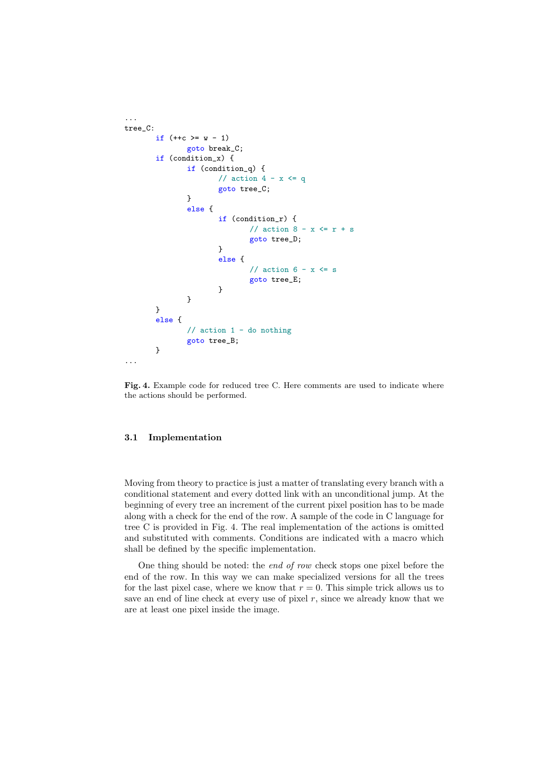```
...
tree_C:
       if (+c) = w - 1goto break_C;
       if (condition_x) {
               if (condition_q) {
                      // action 4 - x \leq qgoto tree_C;
               }
               else {
                       if (condition_r) {
                              // action 8 - x \leq r + sgoto tree_D;
                      }
                       else {
                              // action 6 - x \leq sgoto tree_E;
                       }
               }
       }
       else {
               // action 1 - do nothing
               goto tree_B;
       }
...
```
Fig. 4. Example code for reduced tree C. Here comments are used to indicate where the actions should be performed.

#### 3.1 Implementation

Moving from theory to practice is just a matter of translating every branch with a conditional statement and every dotted link with an unconditional jump. At the beginning of every tree an increment of the current pixel position has to be made along with a check for the end of the row. A sample of the code in C language for tree C is provided in Fig. 4. The real implementation of the actions is omitted and substituted with comments. Conditions are indicated with a macro which shall be defined by the specific implementation.

One thing should be noted: the end of row check stops one pixel before the end of the row. In this way we can make specialized versions for all the trees for the last pixel case, where we know that  $r = 0$ . This simple trick allows us to save an end of line check at every use of pixel  $r$ , since we already know that we are at least one pixel inside the image.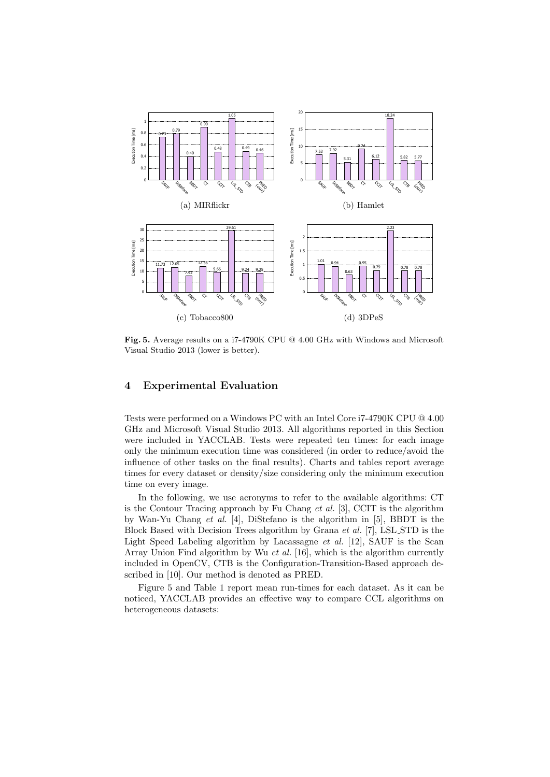

Fig. 5. Average results on a i7-4790K CPU @ 4.00 GHz with Windows and Microsoft Visual Studio 2013 (lower is better).

## 4 Experimental Evaluation

Tests were performed on a Windows PC with an Intel Core i7-4790K CPU @ 4.00 GHz and Microsoft Visual Studio 2013. All algorithms reported in this Section were included in YACCLAB. Tests were repeated ten times: for each image only the minimum execution time was considered (in order to reduce/avoid the influence of other tasks on the final results). Charts and tables report average times for every dataset or density/size considering only the minimum execution time on every image.

In the following, we use acronyms to refer to the available algorithms: CT is the Contour Tracing approach by Fu Chang et al. [3], CCIT is the algorithm by Wan-Yu Chang et al. [4], DiStefano is the algorithm in [5], BBDT is the Block Based with Decision Trees algorithm by Grana et al. [7], LSL STD is the Light Speed Labeling algorithm by Lacassagne  $et$  al. [12], SAUF is the Scan Array Union Find algorithm by Wu et al. [16], which is the algorithm currently included in OpenCV, CTB is the Configuration-Transition-Based approach described in [10]. Our method is denoted as PRED.

Figure 5 and Table 1 report mean run-times for each dataset. As it can be noticed, YACCLAB provides an effective way to compare CCL algorithms on heterogeneous datasets: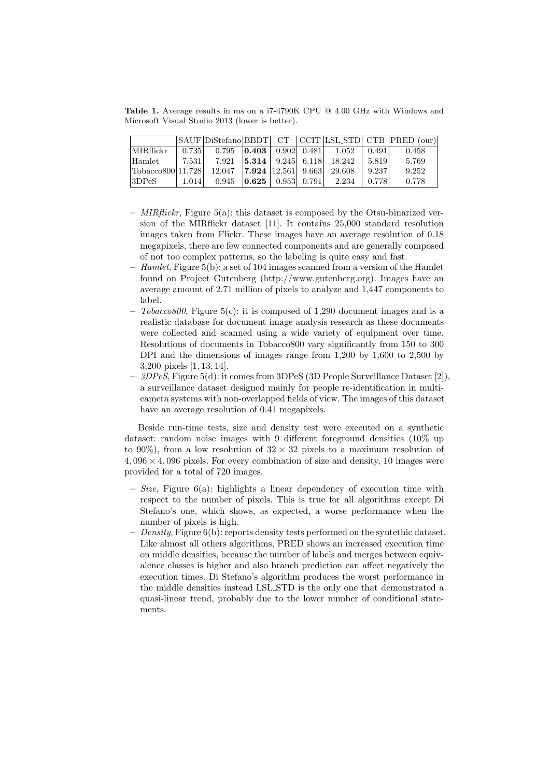Table 1. Average results in ms on a i7-4790K CPU @ 4.00 GHz with Windows and Microsoft Visual Studio 2013 (lower is better).

|                  |       |                                                     |                                 |                         |        |       | SAUF DiStefano BBDT CT CCIT LSL STD CTB PRED (our) |
|------------------|-------|-----------------------------------------------------|---------------------------------|-------------------------|--------|-------|----------------------------------------------------|
| MIRflickr        | 0.735 | $0.795$ $\vert 0.403 \vert 0.902 \vert 0.481 \vert$ |                                 |                         | 1.052  | 0.491 | 0.458                                              |
| Hamlet           | 7.531 | 7.921                                               | $ 5.314 \mid 9.245 \mid 6.118 $ |                         | 18.242 | 5.819 | 5.769                                              |
| Tobacco80011.728 |       | $12.047$   <b>7.924</b>   12.561   9.663            |                                 |                         | 29.608 | 9.237 | 9.252                                              |
| 13DPeS           | 1.014 | 0.945                                               | $ 0.625\rangle$                 | $0.953 \mid 0.791 \mid$ | 2.234  | 0.778 | 0.778                                              |

- $-$  MIRflickr, Figure 5(a): this dataset is composed by the Otsu-binarized version of the MIRflickr dataset [11]. It contains 25,000 standard resolution images taken from Flickr. These images have an average resolution of 0.18 megapixels, there are few connected components and are generally composed of not too complex patterns, so the labeling is quite easy and fast.
- $-$  Hamlet, Figure 5(b): a set of 104 images scanned from a version of the Hamlet found on Project Gutenberg (http://www.gutenberg.org). Images have an average amount of 2.71 million of pixels to analyze and 1,447 components to label.
- $-$  Tobacco800, Figure 5(c): it is composed of 1,290 document images and is a realistic database for document image analysis research as these documents were collected and scanned using a wide variety of equipment over time. Resolutions of documents in Tobacco800 vary significantly from 150 to 300 DPI and the dimensions of images range from 1,200 by 1,600 to 2,500 by 3,200 pixels [1, 13, 14].
- $-3DPeS$ , Figure 5(d): it comes from 3DPeS (3D People Surveillance Dataset [2]), a surveillance dataset designed mainly for people re-identification in multicamera systems with non-overlapped fields of view. The images of this dataset have an average resolution of 0.41 megapixels.

Beside run-time tests, size and density test were executed on a synthetic dataset: random noise images with 9 different foreground densities (10% up to 90%), from a low resolution of  $32 \times 32$  pixels to a maximum resolution of  $4.096 \times 4.096$  pixels. For every combination of size and density, 10 images were provided for a total of 720 images.

- $-$  Size, Figure 6(a): highlights a linear dependency of execution time with respect to the number of pixels. This is true for all algorithms except Di Stefano's one, which shows, as expected, a worse performance when the number of pixels is high.
- Density, Figure  $6(b)$ : reports density tests performed on the syntethic dataset. Like almost all others algorithms, PRED shows an increased execution time on middle densities, because the number of labels and merges between equivalence classes is higher and also branch prediction can affect negatively the execution times. Di Stefano's algorithm produces the worst performance in the middle densities instead LSL STD is the only one that demonstrated a quasi-linear trend, probably due to the lower number of conditional statements.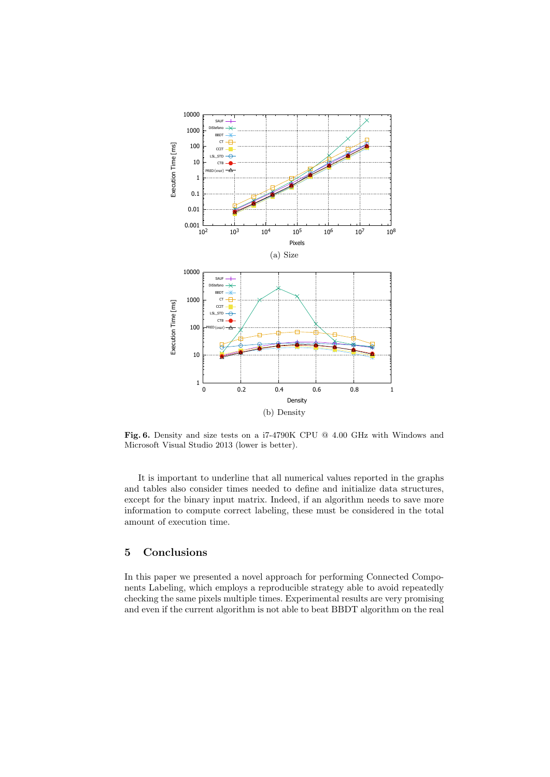

Fig. 6. Density and size tests on a i7-4790K CPU @ 4.00 GHz with Windows and Microsoft Visual Studio 2013 (lower is better).

It is important to underline that all numerical values reported in the graphs and tables also consider times needed to define and initialize data structures, except for the binary input matrix. Indeed, if an algorithm needs to save more information to compute correct labeling, these must be considered in the total amount of execution time.

# 5 Conclusions

In this paper we presented a novel approach for performing Connected Components Labeling, which employs a reproducible strategy able to avoid repeatedly checking the same pixels multiple times. Experimental results are very promising and even if the current algorithm is not able to beat BBDT algorithm on the real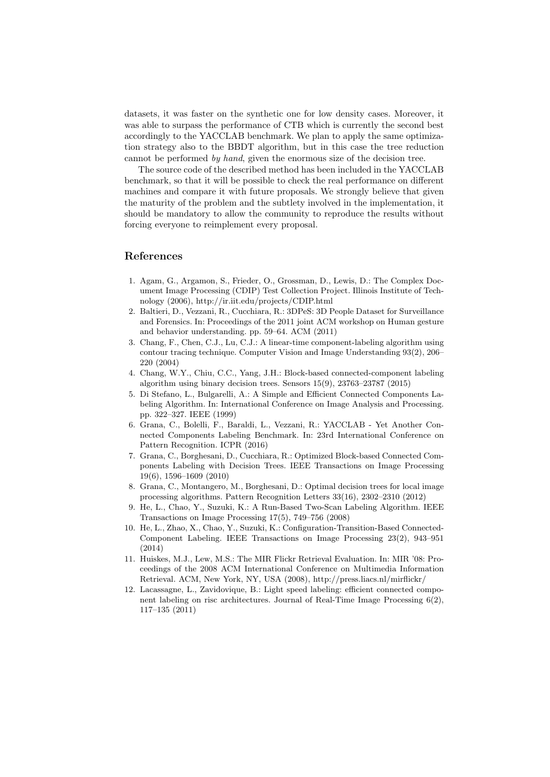datasets, it was faster on the synthetic one for low density cases. Moreover, it was able to surpass the performance of CTB which is currently the second best accordingly to the YACCLAB benchmark. We plan to apply the same optimization strategy also to the BBDT algorithm, but in this case the tree reduction cannot be performed by hand, given the enormous size of the decision tree.

The source code of the described method has been included in the YACCLAB benchmark, so that it will be possible to check the real performance on different machines and compare it with future proposals. We strongly believe that given the maturity of the problem and the subtlety involved in the implementation, it should be mandatory to allow the community to reproduce the results without forcing everyone to reimplement every proposal.

## References

- 1. Agam, G., Argamon, S., Frieder, O., Grossman, D., Lewis, D.: The Complex Document Image Processing (CDIP) Test Collection Project. Illinois Institute of Technology (2006), http://ir.iit.edu/projects/CDIP.html
- 2. Baltieri, D., Vezzani, R., Cucchiara, R.: 3DPeS: 3D People Dataset for Surveillance and Forensics. In: Proceedings of the 2011 joint ACM workshop on Human gesture and behavior understanding. pp. 59–64. ACM (2011)
- 3. Chang, F., Chen, C.J., Lu, C.J.: A linear-time component-labeling algorithm using contour tracing technique. Computer Vision and Image Understanding 93(2), 206– 220 (2004)
- 4. Chang, W.Y., Chiu, C.C., Yang, J.H.: Block-based connected-component labeling algorithm using binary decision trees. Sensors 15(9), 23763–23787 (2015)
- 5. Di Stefano, L., Bulgarelli, A.: A Simple and Efficient Connected Components Labeling Algorithm. In: International Conference on Image Analysis and Processing. pp. 322–327. IEEE (1999)
- 6. Grana, C., Bolelli, F., Baraldi, L., Vezzani, R.: YACCLAB Yet Another Connected Components Labeling Benchmark. In: 23rd International Conference on Pattern Recognition. ICPR (2016)
- 7. Grana, C., Borghesani, D., Cucchiara, R.: Optimized Block-based Connected Components Labeling with Decision Trees. IEEE Transactions on Image Processing 19(6), 1596–1609 (2010)
- 8. Grana, C., Montangero, M., Borghesani, D.: Optimal decision trees for local image processing algorithms. Pattern Recognition Letters 33(16), 2302–2310 (2012)
- 9. He, L., Chao, Y., Suzuki, K.: A Run-Based Two-Scan Labeling Algorithm. IEEE Transactions on Image Processing 17(5), 749–756 (2008)
- 10. He, L., Zhao, X., Chao, Y., Suzuki, K.: Configuration-Transition-Based Connected-Component Labeling. IEEE Transactions on Image Processing 23(2), 943–951 (2014)
- 11. Huiskes, M.J., Lew, M.S.: The MIR Flickr Retrieval Evaluation. In: MIR '08: Proceedings of the 2008 ACM International Conference on Multimedia Information Retrieval. ACM, New York, NY, USA (2008), http://press.liacs.nl/mirflickr/
- 12. Lacassagne, L., Zavidovique, B.: Light speed labeling: efficient connected component labeling on risc architectures. Journal of Real-Time Image Processing 6(2), 117–135 (2011)